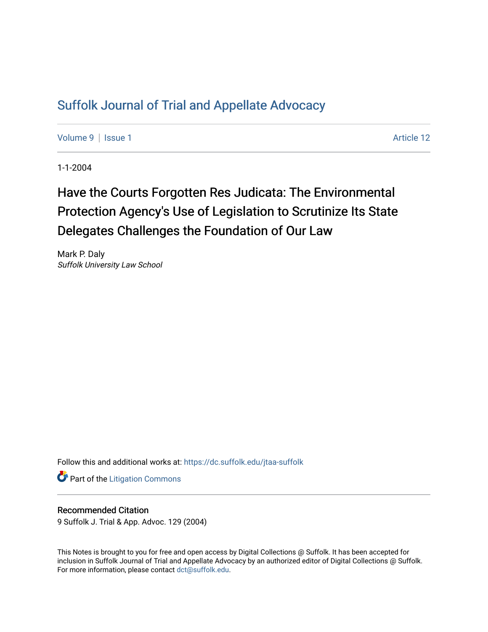## [Suffolk Journal of Trial and Appellate Advocacy](https://dc.suffolk.edu/jtaa-suffolk)

[Volume 9](https://dc.suffolk.edu/jtaa-suffolk/vol9) | [Issue 1](https://dc.suffolk.edu/jtaa-suffolk/vol9/iss1) Article 12

1-1-2004

# Have the Courts Forgotten Res Judicata: The Environmental Protection Agency's Use of Legislation to Scrutinize Its State Delegates Challenges the Foundation of Our Law

Mark P. Daly Suffolk University Law School

Follow this and additional works at: [https://dc.suffolk.edu/jtaa-suffolk](https://dc.suffolk.edu/jtaa-suffolk?utm_source=dc.suffolk.edu%2Fjtaa-suffolk%2Fvol9%2Fiss1%2F12&utm_medium=PDF&utm_campaign=PDFCoverPages) 

**Part of the [Litigation Commons](https://network.bepress.com/hgg/discipline/910?utm_source=dc.suffolk.edu%2Fjtaa-suffolk%2Fvol9%2Fiss1%2F12&utm_medium=PDF&utm_campaign=PDFCoverPages)** 

#### Recommended Citation

9 Suffolk J. Trial & App. Advoc. 129 (2004)

This Notes is brought to you for free and open access by Digital Collections @ Suffolk. It has been accepted for inclusion in Suffolk Journal of Trial and Appellate Advocacy by an authorized editor of Digital Collections @ Suffolk. For more information, please contact [dct@suffolk.edu](mailto:dct@suffolk.edu).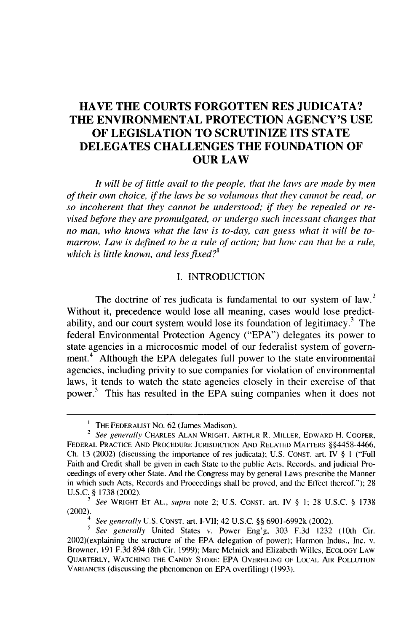### **HAVE THE COURTS FORGOTTEN RES JUDICATA? THE ENVIRONMENTAL PROTECTION AGENCY'S USE OF LEGISLATION TO SCRUTINIZE ITS STATE DELEGATES CHALLENGES THE FOUNDATION OF OUR LAW**

*It will be of little avail to the people, that the laws are made by men of their own choice, if the laws be so volumous that they cannot be read, or so incoherent that they cannot be understood; if they be repealed or revised before they are promulgated, or undergo such incessant changes that no man, who knows what the law is to-day, can guess what it will be tomarrow. Law is defined to be a rule of action; but how can that be a rule, which is little known, and less fixed?'*

#### I. INTRODUCTION

The doctrine of res judicata is fundamental to our system of law.<sup>2</sup> Without it, precedence would lose all meaning, cases would lose predictability, and our court system would lose its foundation of legitimacy.<sup>3</sup> The federal Environmental Protection Agency ("EPA") delegates its power to state agencies in a microcosmic model of our federalist system of government.<sup>4</sup> Although the EPA delegates full power to the state environmental agencies, including privity to sue companies for violation of environmental laws, it tends to watch the state agencies closely in their exercise of that power.<sup>5</sup> This has resulted in the EPA suing companies when it does not

**<sup>&#</sup>x27;** THE FEDERALIST **No.** 62 (James Madison).

<sup>2</sup> *See generally* CHARLES ALAN WRIGHT, ARTHUR R. MILLER, EDWARD H. COOPER, FEDERAL PRACTICE **AND** PROCEDURE **JURISDICTION AND** RELATED MATTERS §§4458-4466, Ch. 13 (2002) (discussing the importance of res judicata); U.S. **CONST.** art. IV § **I** ("Full Faith and Credit shall be given in each State to the public Acts, Records, and judicial Proceedings of every other State. And the Congress may by general Laws prescribe the Manner in which such Acts, Records and Proceedings shall be proved, and the Effect thereof."); 28 U.S.C. § 1738 (2002). *3 See* WRIGHT ET AL., *supra* note 2; U.S. CONST. art. IV § 1; 28 U.S.C. § 1738

<sup>(2002).</sup>

*<sup>4</sup> See generally* U.S. CONST. art. I-VII; 42 U.S.C. §§ 6901-6992k (2002).

*<sup>5</sup> See generally* United States v. Power Eng'g, 303 F.3d 1232 (10th Cir. 2002)(explaining the structure of the EPA delegation of power); Harmon Indus., Inc. v. Browner, 191 F.3d 894 (8th Cir. 1999); Marc Melnick and Elizabeth Willes, ECOLOGY LAW QUARTERLY, **WATCHING** THE **CANDY** STORE: EPA OVERFILING OF **LOCAL** AIR POLLUTION VARIANCES (discussing the phenomenon on EPA overfiling) (1993).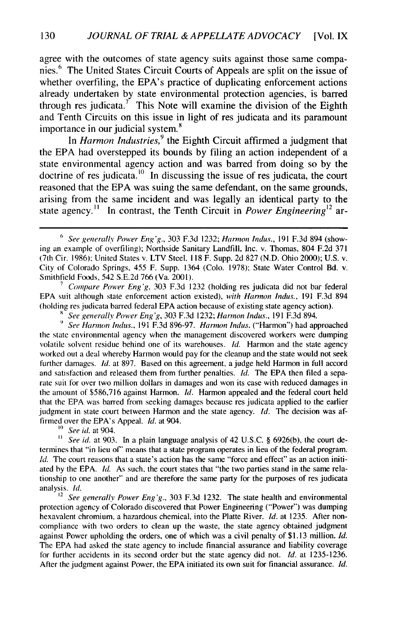agree with the outcomes of state agency suits against those same companies.<sup>6</sup> The United States Circuit Courts of Appeals are split on the issue of whether overfiling, the EPA's practice of duplicating enforcement actions already undertaken by state environmental protection agencies, is barred through res judicata.<sup>7</sup> This Note will examine the division of the Eighth and Tenth Circuits on this issue in light of res judicata and its paramount importance in our judicial system.<sup>8</sup>

In *Harmon Industries,<sup>9</sup>*the Eighth Circuit affirmed a judgment that the EPA had overstepped its bounds by filing an action independent of a state environmental agency action and was barred from doing so by the doctrine of res judicata.<sup>10</sup> In discussing the issue of res judicata, the court reasoned that the EPA was suing the same defendant, on the same grounds, arising from the same incident and was legally an identical party to the state agency." In contrast, the Tenth Circuit in *Power Engineering12* ar-

**<sup>7</sup>***Compare Power Eng'g,* 303 F.3d 1232 (holding res judicata did not bar federal EPA suit although state enforcement action existed), *with Harmon Indus.,* 191 F.3d 894 (holding res judicata barred federal EPA action because of existing state agency action).

*See generally Power Eng'g,* 303 F.3d 1232; *Harmon Indus.,* 191 F.3d 894.

**9** *See Harmon Indus.,* **191** F.3d 896-97. *Harmon Indus.* ("Harmon") had approached the state environmental agency when the management discovered workers were dumping volatile solvent residue behind one of its warehouses. *Id.* Harmon and the state agency worked out a deal whereby Harmon would pay for the cleanup and the state would not seek further damages. *Id.* at 897. Based on this agreement, a judge held Harmon in full accord and satisfaction and released them from further penalties. *Id.* The EPA then filed a separate suit for over two million dollars in damages and won its case with reduced damages in the amount of \$586,716 against Harmon. *Id.* Harmon appealed and the federal court held that the EPA was barred from seeking damages because res judicata applied to the earlier judgment in state court between Harmon and the state agency. *Id.* The decision was affirmed over the EPA's Appeal. *Id.* at 904.

**..** *See* id. at 904.

<sup>11</sup> *See id.* at 903. In a plain language analysis of 42 U.S.C. § 6926(b), the court determines that "in lieu of" means that a state program operates in lieu of the federal program. *Id.* The court reasons that a state's action has the same "force and effect" as an action initiated by the EPA. *Id.* As such, the court states that "the two parties stand in the same relationship to one another" and are therefore the same party for the purposes of res judicata analysis. *Id.*

<sup>12</sup>*See generally Power Eng'g.,* 303 F.3d 1232. The state health and environmental protection agency of Colorado discovered that Power Engineering ("Power") was dumping hexavalent chromium, a hazardous chemical, into the Platte River. *Id.* at 1235. After noncompliance with two orders to clean up the waste, the state agency obtained judgment against Power upholding the orders, one of which was a civil penalty of \$1.13 million. *Id.* The EPA had asked the state agency to include financial assurance and liability coverage for further accidents in its second order but the state agency did not. *Id.* at 1235-1236. After the judgment against Power, the EPA initiated its own suit for financial assurance. *Id.*

**<sup>6</sup>** *See generally Power Eng'g.,* 303 F.3d 1232; *Harmon Indus.,* 191 F.3d 894 (showing an example of overfiling); Northside Sanitary Landfill, Inc. v. Thomas, 804 F.2d 371 (7th Cir. 1986): United States v. LTV Steel, 118 F. Supp. 2d 827 (N.D. Ohio 2000); U.S. v. City of Colorado Springs, 455 F. Supp. 1364 (Colo. 1978); State Water Control Bd. v. Smithfield Foods, 542 S.E.2d 766 (Va. 2001).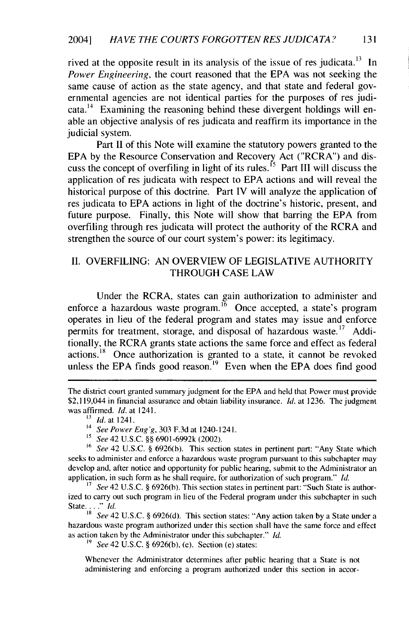rived at the opposite result in its analysis of the issue of res judicata.<sup>13</sup> In *Power Engineering,* the court reasoned that the EPA was not seeking the same cause of action as the state agency, and that state and federal governmental agencies are not identical parties for the purposes of res judicata.<sup>14</sup> Examining the reasoning behind these divergent holdings will enable an objective analysis of res judicata and reaffirm its importance in the judicial system.

Part II of this Note will examine the statutory powers granted to the EPA by the Resource Conservation and Recovery Act ("RCRA") and discuss the concept of overfiling in light of its rules.<sup>15</sup> Part III will discuss the application of res judicata with respect to EPA actions and will reveal the historical purpose of this doctrine. Part IV will analyze the application of res judicata to EPA actions in light of the doctrine's historic, present, and future purpose. Finally, this Note will show that barring the EPA from overfiling through res judicata will protect the authority of the RCRA and strengthen the source of our court system's power: its legitimacy.

#### II. OVERFILING: AN OVERVIEW OF LEGISLATIVE AUTHORITY THROUGH CASE LAW

Under the RCRA, states can gain authorization to administer and enforce a hazardous waste program.<sup>16</sup> Once accepted, a state's program operates in lieu of the federal program and states may issue and enforce permits for treatment, storage, and disposal of hazardous waste.<sup>17</sup> Additionally, the RCRA grants state actions the same force and effect as federal actions.<sup>18</sup> Once authorization is granted to a state, it cannot be revoked unless the EPA finds good reason.<sup>19</sup> Even when the EPA does find good

**<sup>18</sup>***See* 42 U.S.C. § 6926(d). This section states: "Any action taken by a State under a hazardous waste program authorized under this section shall have the same force and effect as action taken by the Administrator under this subchapter." *Id.*

*'9 See* 42 U.S.C. § 6926(b), (e). Section (e) states:

Whenever the Administrator determines after public hearing that a State is not administering and enforcing a program authorized under this section in accor-

The district court granted summary judgment for the EPA and held that Power must provide \$2,119,044 in financial assurance and obtain liability insurance. *Id.* at 1236. The judgment was affirmed. *Id.* at 1241.

**<sup>&</sup>quot;** *id.* at **1241.**

<sup>14</sup> *See Power Eng'g,* 303 F.3d at 1240-1241.

**<sup>&#</sup>x27;5** *See* 42 U.S.C. §§ 6901-6992k (2002).

<sup>&</sup>lt;sup>16</sup> *See* 42 U.S.C. § 6926(b). This section states in pertinent part: "Any State which seeks to administer and enforce a hazardous waste program pursuant to this subchapter may develop and, after notice and opportunity for public hearing, submit to the Administrator an application, in such form as he shall require, for authorization of such program." *Id.*

*See* 42 U.S.C. § 6926(b). This section states in pertinent part: "Such State is authorized to carry out such program in lieu of the Federal program under this subchapter in such State *.... i.*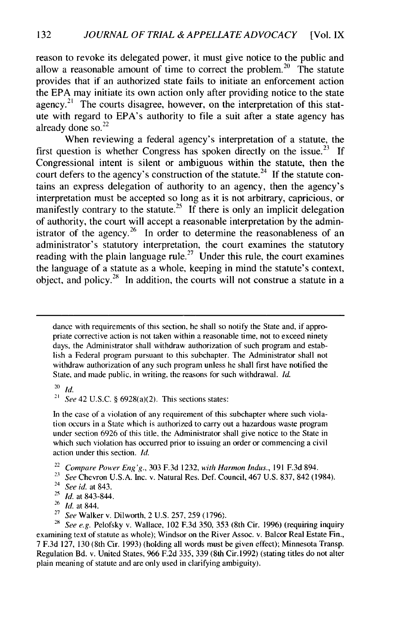reason to revoke its delegated power, it must give notice to the public and allow a reasonable amount of time to correct the problem.<sup>20</sup> The statute provides that if an authorized state fails to initiate an enforcement action the EPA may initiate its own action only after providing notice to the state agency.<sup>21</sup> The courts disagree, however, on the interpretation of this statute with regard to EPA's authority to file a suit after a state agency has already done so. $^{22}$ 

When reviewing a federal agency's interpretation of a statute, the first question is whether Congress has spoken directly on the issue.<sup>23</sup> If Congressional intent is silent or ambiguous within the statute, then the court defers to the agency's construction of the statute.<sup>24</sup> If the statute contains an express delegation of authority to an agency, then the agency's interpretation must be accepted so long as it is not arbitrary, capricious, or manifestly contrary to the statute.<sup>25</sup> If there is only an implicit delegation of authority, the court will accept a reasonable interpretation by the administrator of the agency.<sup>26</sup> In order to determine the reasonableness of an administrator's statutory interpretation, the court examines the statutory reading with the plain language rule.<sup>27</sup> Under this rule, the court examines the language of a statute as a whole, keeping in mind the statute's context, object, and policy.<sup>28</sup> In addition, the courts will not construe a statute in a

dance with requirements of this section, he shall so notify the State and, if appropriate corrective action is not taken within a reasonable time, not to exceed ninety days, the Administrator shall withdraw authorization of such program and establish a Federal program pursuant to this subchapter. The Administrator shall not withdraw authorization of any such program unless he shall first have notified the State, and made public, in writing, the reasons for such withdrawal. Id.

 $20$  *Id.* 

<sup>21</sup> See 42 U.S.C. § 6928(a)(2). This sections states:

In the case of a violation of any requirement of this subchapter where such violation occurs in a State which is authorized to carry out a hazardous waste program under section 6926 of this title, the Administrator shall give notice to the State in which such violation has occurred prior to issuing an order or commencing a civil action under this section. *Id.* 

<sup>22</sup>Compare Power Eng'g., 303 F.3d 1232, *with* Harmon Indus., 191 F.3d 894.

*23 See* Chevron U.S.A. Inc. v. Natural Res. Def. Council, 467 U.S. 837, 842 (1984).

*28 See e.g.* Pelofsky v. Wallace, 102 F.3d 350, 353 (8th Cir. 1996) (requiring inquiry examining text of statute as whole); Windsor on the River Assoc. v. Balcor Real Estate Fin., 7 F.3d 127, 130 (8th Cir. 1993) (holding all words must be given effect); Minnesota Transp. Regulation Bd. v. United States, 966 F.2d 335, 339 (8th Cir.1992) (stating titles do not alter plain meaning of statute and are only used in clarifying ambiguity).

<sup>24</sup>*See id.* at 843.

*<sup>21</sup>Id.* at 843-844.

**<sup>26</sup>***Id.* at 844.

<sup>27</sup>*See* Walker v. Dilworth, 2 U.S. 257, 259 (1796).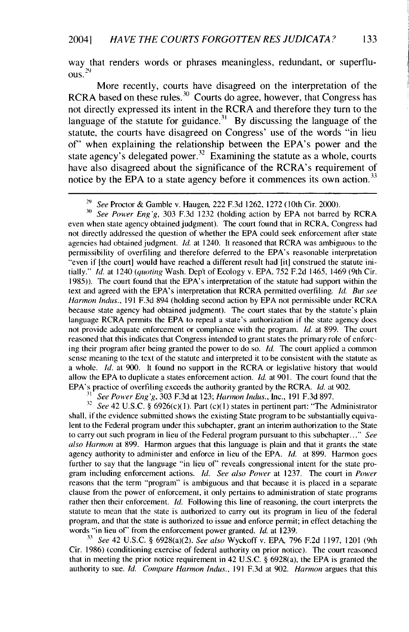way that renders words or phrases meaningless, redundant, or superflu-**29 ous.**

More recently, courts have disagreed on the interpretation of the RCRA based on these rules.<sup>30</sup> Courts do agree, however, that Congress has not directly expressed its intent in the RCRA and therefore they turn to the language of the statute for guidance.<sup>31</sup> By discussing the language of the statute, the courts have disagreed on Congress' use of the words "in lieu of" when explaining the relationship between the EPA's power and the state agency's delegated power.<sup>32</sup> Examining the statute as a whole, courts have also disagreed about the significance of the RCRA's requirement of notice by the EPA to a state agency before it commences its own action.<sup>33</sup>

**<sup>31</sup>***See Power Eng'g,* 303 F.3d 1232 (holding action by EPA not barred by RCRA even when state agency obtained judgment). The court found that in RCRA, Congress had not directly addressed the question of whether the EPA could seek enforcement after state agencies had obtained judgment. *Id.* at 1240. It reasoned that RCRA was ambiguous to the permissibility of overfiling and therefore deferred to the EPA's reasonable interpretation "even if [the court] would have reached a different result had [it] construed the statute initially." *Id.* at 1240 *(quoting* Wash. Dep't of Ecology v. EPA, 752 F.2d 1465, 1469 (9th Cir. 1985)). The court found that the EPA's interpretation of the statute had support within the text and agreed with the EPA's interpretation that RCRA permitted overfiling. *Id. But see Harmon Indus.,* 191 F.3d 894 (holding second action by EPA not permissible under RCRA because state agency had obtained judgment). The court states that by the statute's plain language RCRA permits the EPA to repeal a state's authorization if the state agency does not provide adequate enforcement or compliance with the program. *Id.* at 899. The court reasoned that this indicates that Congress intended to grant states the primary role of enforcing their program after being granted the power to do so. *Id.* The court applied a common sense meaning to the text of the statute and interpreted it to be consistent with the statute **as** a whole. *Id.* at 900. It found no support in the RCRA or legislative history that would allow the EPA to duplicate a states enforcement action. *Id.* at 901. The court found that the EPA's practice of overfiling exceeds the authority granted by the RCRA. *Id.* at 902.

**31** *See Power Eng'g,* 303 F.3d at 123; *Harmon Indus.,* Inc., 191 F.3d 897.

<sup>32</sup> See 42 U.S.C. § 6926(c)(1). Part (c)(1) states in pertinent part: "The Administrator shall, if the evidence submitted shows the existing State program to be substantially equivalent to the Federal program under this subchapter, grant an interim authorization to the State to carry out such program in lieu of the Federal program pursuant to this subchapter..." *See also Harmon* at 899. Harmon argues that this language is plain and that it grants the state agency authority to administer and enforce in lieu of the EPA. *Id.* at 899. Harmon goes further to say that the language "in lieu of' reveals congressional intent for the state program including enforcement actions. *Id. See also Power* at 1237. The court in *Power* reasons that the term "program" is ambiguous and that because it is placed in a separate clause from the power of enforcement, it only pertains to administration of state programs rather then their enforcement. *Id.* Following this line of reasoning, the court interprets the statute to mean that the state is authorized to carry out its program in lieu of the federal program, and that the state is authorized to issue and enforce permit; in effect detaching the words "in lieu of' from the enforcement power granted. *Id.* at 1239.

**<sup>33</sup>***See* 42 U.S.C. § 6928(a)(2). *See also* Wyckoff v. EPA, 796 F.2d 1197, 1201 (9th Cir. 1986) (conditioning exercise of federal authority on prior notice). The court reasoned that in meeting the prior notice requirement in 42 U.S.C. § 6928(a), the EPA is granted the authority to sue. *Id. Compare Harmon Indus.,* 191 F.3d at 902. *Harmon* argues that this

**<sup>29</sup>***See* Proctor & Gamble v. Haugen, 222 F.3d 1262, 1272 (10th Cir. 2000).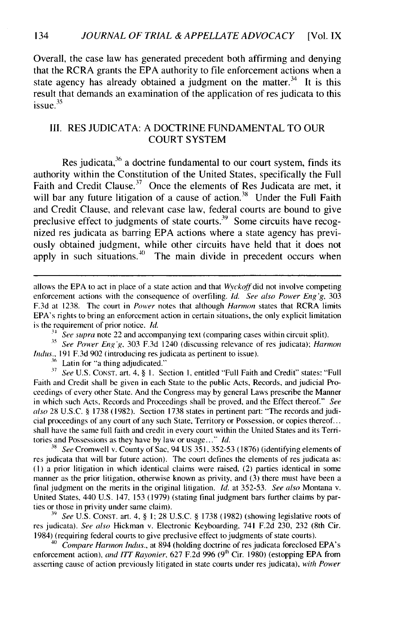Overall, the case law has generated precedent both affirming and denying that the RCRA grants the EPA authority to file enforcement actions when a state agency has already obtained a judgment on the matter.<sup>34</sup> It is this result that demands an examination of the application of res judicata to this issue. $35$ 

#### II. RES JUDICATA: A DOCTRINE FUNDAMENTAL TO OUR COURT SYSTEM

Res judicata,<sup>36</sup> a doctrine fundamental to our court system, finds its authority within the Constitution of the United States, specifically the Full Faith and Credit Clause.<sup>37</sup> Once the elements of Res Judicata are met, it will bar any future litigation of a cause of action.<sup>38</sup> Under the Full Faith and Credit Clause, and relevant case law, federal courts are bound to give preclusive effect to judgments of state courts.<sup>39</sup> Some circuits have recognized res judicata as barring **EPA** actions where a state agency has previously obtained judgment, while other circuits have held that it does not apply in such situations.<sup>40</sup> The main divide in precedent occurs when

<sup>14</sup>*See supra* note 22 and accompanying text (comparing cases within circuit split).

**<sup>35</sup>***See Power Eng* 'g, 303 F.3d 1240 (discussing relevance of res judicata); *Harmon Indus.*, 191 F.3d 902 (introducing res judicata as pertinent to issue).

<sup>36</sup> Latin for "a thing adjudicated."

**;7** *See* U.S. CONST. art. 4, § **1.** Section **1,** entitled "Full Faith and Credit" states: "Full Faith and Credit shall be given in each State to the public Acts, Records, and judicial Proceedings of every other State. And the Congress may by general Laws prescribe the Manner in which such Acts. Records and Proceedings shall be proved, and the Effect thereof." *See* also 28 U.S.C. § 1738 (1982). Section 1738 states in pertinent part: "The records and judicial proceedings of any court of any such State, Territory or Possession, or copies thereof... shall have the same full faith and credit in every court within the United States and its Territories and Possessions as they have by law or usage..."  $Id$ .

**<sup>31</sup>***See* Cromwell v. County of Sac, 94 US 351. 352-53 (1876) (identifying elements of res judicata that will bar future action). The court defines the elements of res judicata as: **(1)** a prior litigation in which identical claims were raised, (2) parties identical in some manner as the prior litigation, otherwise known as privity, and (3) there must have been a final judgment on the merits in the original litigation. *Id.* at 352-53. *See also* Montana v. United States, 440 U.S. 147, 153 (1979) (stating final judgment bars further claims by parties or those in privity under same claim).

**39** *See* U.S. CONST. art. 4, § 1; 28 U.S.C. § 1738 (1982) (showing legislative roots of res judicata). *See also* Hickman v. Electronic Keyboarding, 741 F.2d 230, 232 (8th Cir. 1984) (requiring federal courts to give preclusive effect to judgments of state courts).

<sup>40</sup>*Compare Harmon Indus.,* at 894 (holding doctrine of res judicata foreclosed EPA's enforcement action), *and* ITT *Rayonier,* 627 F.2d 996 (<sup>9</sup> h Cir. 1980) (estopping EPA from asserting cause of action previously litigated in state courts under res judicata), with Power

allows the EPA to act in place of a state action and that *Wyckoff* did not involve competing enforcement actions with the consequence of overfiling. *Id. See also Power Eng'g,* 303 **F.3d** at 1238. The court in *Power* notes that although *Harmon* states that RCRA limits EPA's rights to bring an enforcement action in certain situations, the only explicit limitation is the requirement of prior notice. */d.*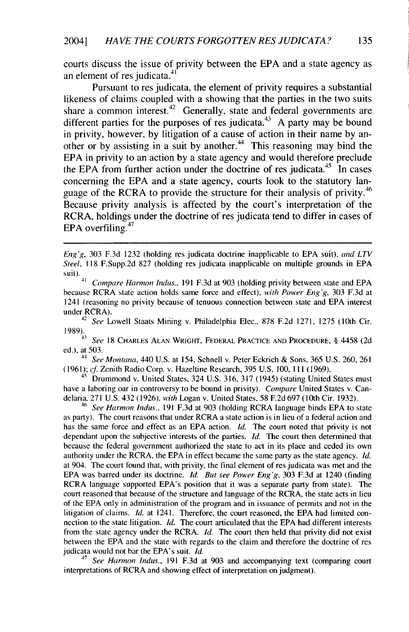courts discuss the issue of privity between the EPA and a state agency as an element of res judicata.<sup>4</sup>

 Pursuant to res judicata, the element of privity requires a substantial likeness of claims coupled with a showing that the parties in the two suits share a common interest.<sup>42</sup> Generally, state and federal governments are different parties for the purposes of res judicata.<sup>43</sup> A party may be bound in privity, however, by litigation of a cause of action in their name by another or by assisting in a suit by another.<sup> $44$ </sup> This reasoning may bind the EPA in privity to an action by a state agency and would therefore preclude the EPA from further action under the doctrine of res judicata.<sup>45</sup> In cases concerning the EPA and a state agency, courts look to the statutory language of the RCRA to provide the structure for their analysis of privity.<sup>46</sup> Because privity analysis is affected by the court's interpretation of the RCRA, holdings under the doctrine of res judicata tend to differ in cases of EPA overfiling. $47$ 

<sup>42</sup>*See* Lowell Staats Mining v. Philadelphia Elec., 878 F.2d 1271, 1275 (10th Cir.

1989). <sup>43</sup>See 18 CHARLES **ALAN** WRIGHT, FEDERAL PRACTICE **AND** PROCEDURE, § 4458 (2d ed.), at 503.

*<sup>44</sup>See Montana,* 440 U.S. at 154, Schnell v. Peter Eckrich & Sons, 365 U.S. 260, 261 (1961); *cf* Zenith Radio Corp. v. Hazeltine Research, 395 U.S. 100, 111 (1969).

 $45$  Drummond v. United States, 324 U.S. 316, 317 (1945) (stating United States must have a laboring oar in controversy to be bound in privity). *Compare* United States v. Candelaria, 271 U.S. 432 (1926), *with* Logan v. United States, 58 F.2d 697 (10th Cir. 1932).

<sup>46</sup>*See Harmon Indus.,* 191 F.3d at 903 (holding RCRA language binds EPA to state as party). The court reasons that under RCRA a state action is in lieu of a federal action and has the same force and effect as an EPA action. *Id.* The court noted that privity is not dependant upon the subjective interests of the parties. *Id.* The court then determined that because the federal government authorized the state to act in its place and ceded its own authority under the RCRA, the EPA in effect became the same party as the state agency. *Id.* at 904. The court found that, with privity, the final element of res judicata was met and the EPA was barred under its doctrine. *Id. But see Power Eng'g,* 303 F.3d at 1240 (finding RCRA language supported EPA's position that it was a separate party from state). The court reasoned that because of the structure and language of the RCRA, the state acts in lieu of the EPA only in administration of the program and in issuance of permits and not in the litigation of claims. *Id.* at 1241. Therefore, the court reasoned, the EPA had limited connection to the state litigation. *Id.* The court articulated that the EPA had different interests from the state agency under the RCRA. *Id.* The court then held that privity did not exist between the EPA and the state with regards to the claim and therefore the doctrine of res judicata would not bar the EPA's suit. *Id.*

<sup>47</sup>*See Harmon Indus.,* 191 F.3d at 903 and accompanying text (comparing court interpretations of RCRA and showing effect of interpretation on judgment).

Eng'g, 303 F.3d 1232 (holding res judicata doctrine inapplicable to EPA suit), and LTV Steel, 118 F.Supp.2d 827 (holding res judicata inapplicable on multiple grounds in EPA  $\frac{\text{suit}}{\text{suit}}$ .

<sup>41</sup>Compare *Harmon Indus.,* 191 F.3d at 903 (holding privity between state and EPA because RCRA state action holds same force and effect), *with Power Eng'g,* 303 F.3d at 1241 (reasoning no privity because of tenuous connection between state and EPA interest under RCRA).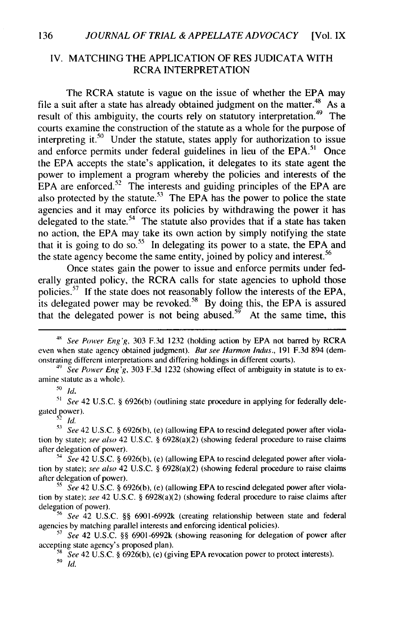#### IV. MATCHING THE APPLICATION OF RES JUDICATA WITH RCRA INTERPRETATION

The RCRA statute is vague on the issue of whether the EPA may file a suit after a state has already obtained judgment on the matter.<sup>48</sup> As a result of this ambiguity, the courts rely on statutory interpretation.<sup>49</sup> The courts examine the construction of the statute as a whole for the purpose of interpreting it.<sup>50</sup> Under the statute, states apply for authorization to issue and enforce permits under federal guidelines in lieu of the EPA.<sup>51</sup> Once the EPA accepts the state's application, it delegates to its state agent the power to implement a program whereby the policies and interests of the  $EPA$  are enforced.<sup>52</sup> The interests and guiding principles of the EPA are also protected by the statute.<sup>53</sup> The EPA has the power to police the state agencies and it may enforce its policies by withdrawing the power it has delegated to the state.<sup>54</sup> The statute also provides that if a state has taken no action, the EPA may take its own action by simply notifying the state that it is going to do so.<sup>55</sup> In delegating its power to a state, the EPA and the state agency become the same entity, joined by policy and interest.<sup>56</sup>

Once states gain the power to issue and enforce permits under federally granted policy, the RCRA calls for state agencies to uphold those policies.<sup> $37$ </sup> If the state does not reasonably follow the interests of the EPA, its delegated power may be revoked.<sup>58</sup> By doing this, the EPA is assured that the delegated power is not being abused.<sup>59</sup> At the same time, this

**<sup>50</sup>***Id.*

**"** See 42 U.S.C. **§** 6926(b) (outlining state procedure in applying for federally delegated power).

*52 id.*

<sup>&</sup>lt;sup>48</sup> See Power Eng'g, 303 F.3d 1232 (holding action by EPA not barred by RCRA even when state agency obtained judgment). But see *Harmon* Indus., 191 F.3d 894 (demonstrating different interpretations and differing holdings in different courts).

<sup>&</sup>lt;sup>49</sup> See Power Eng'g, 303 F.3d 1232 (showing effect of ambiguity in statute is to examine statute as a whole).

**<sup>13</sup>** See 42 U.S.C. **§** 6926(b), (e) (allowing EPA to rescind delegated power after violation **by** state); see also 42 U.S.C. **§** 6928(a)(2) (showing federal procedure to raise claims after delegation of power).

**<sup>&</sup>quot;'** See 42 U.S.C. **§** 6926(b), (e) (allowing EPA to rescind delegated power after violation **by** state); see also 42 U.S.C. **§** 6928(a)(2) (showing federal procedure to raise claims after delegation of power).

**<sup>55</sup>** See 42 U.S.C. **§** 6926(b), (e) (allowing EPA to rescind delegated power after violation **by** state); see 42 U.S.C. **§** 6928(a)(2) (showing federal procedure to raise claims after delegation of power).

<sup>&</sup>lt;sup>56</sup> See 42 U.S.C. §§ 6901-6992k (creating relationship between state and federal agencies **by** matching parallel interests and enforcing identical policies).

<sup>&</sup>lt;sup>57</sup> See 42 U.S.C. §§ 6901-6992k (showing reasoning for delegation of power after accepting state agency's proposed plan).

*<sup>8</sup>* See 42 U.S.C. **§** 6926(b), (e) (giving EPA revocation power to protect interests). **59** *Id.*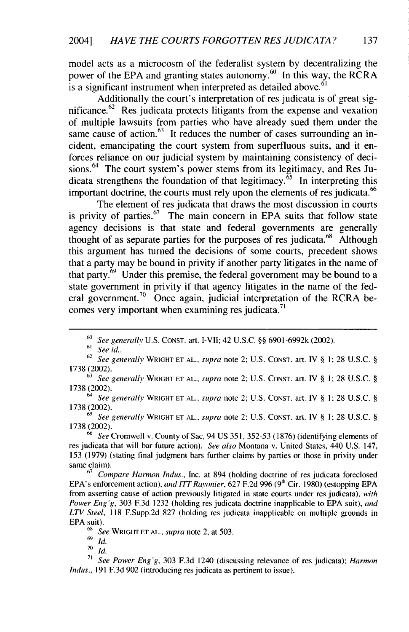model acts as a microcosm of the federalist system by decentralizing the power of the EPA and granting states autonomy. $\frac{60}{10}$  In this way, the RCRA is a significant instrument when interpreted as detailed above.<sup>6</sup>

Additionally the court's interpretation of res judicata is of great significance.<sup>62</sup> Res judicata protects litigants from the expense and vexation of multiple lawsuits from parties who have already sued them under the same cause of action. $^{63}$  It reduces the number of cases surrounding an incident, emancipating the court system from superfluous suits, and it enforces reliance on our judicial system by maintaining consistency of decisions.<sup>64</sup> The court system's power stems from its legitimacy, and Res Judicata strengthens the foundation of that legitimacy.<sup>65</sup>In interpreting this important doctrine, the courts must rely upon the elements of res judicata.<sup>66</sup>

The element of res judicata that draws the most discussion in courts is privity of parties. $67$  The main concern in EPA suits that follow state agency decisions is that state and federal governments are generally thought of as separate parties for the purposes of res judicata.<sup>68</sup> Although this argument has turned the decisions of some courts, precedent shows that a party may be bound in privity if another party litigates in the name of that party. $69$  Under this premise, the federal government may be bound to a state government in privity if that agency litigates in the name of the federal government.<sup>70</sup> Once again, judicial interpretation of the RCRA becomes very important when examining res judicata.<sup>71</sup>

*<sup>55</sup>*See generally WRIGHT **ET AL.,** supra note 2; U.S. **CONST.** art. IV § 1; 28 U.S.C. § 1738 (2002).

 $66$  See Cromwell v. County of Sac, 94 US 351, 352-53 (1876) (identifying elements of res judicata that will bar future action). See also Montana v. United States, 440 U.S. 147, 153 (1979) (stating final judgment bars further claims by parties or those in privity under same claim).

**<sup>67</sup>**Compare Harmon Indus., Inc. at 894 (holding doctrine of res judicata foreclosed EPA's enforcement action), and ITT Rayonier, 627 F.2d 996 (9<sup>th</sup> Cir. 1980) (estopping EPA from asserting cause of action previously litigated in state courts under res judicata), with Power Eng'g, 303 F.3d 1232 (holding res judicata doctrine inapplicable to EPA suit), *and LTV* Steel, 118 F.Supp.2d 827 (holding res judicata inapplicable on multiple grounds in EPA suit).

<sup>68</sup> See WRIGHT ET AL., *supra* note 2, at 503.

<sup>69</sup>*Id.*

**70** *Id.*

*71* See Power Eng'g, 303 F.3d 1240 (discussing relevance of res judicata); Harmon *Indus.,* 191 F.3d 902 (introducing res judicata as pertinent to issue).

 $60$  See generally U.S. CONST. art. I-VII; 42 U.S.C. §§ 6901-6992k (2002).

 $61$  See id..

<sup>62</sup> See generally WRIGHT **ET AL.,** supra note 2; U.S. CONST. art. IV § **1;** 28 U.S.C. § 1738 (2002).

 $^{63}$  See generally WRIGHT ET AL., supra note 2; U.S. CONST. art. IV § 1; 28 U.S.C. § 1738 (2002).

*<sup>64</sup>*See generally WRIGHT **ET AL.,** supra note 2; U.S. **CONST.** art. IV § 1; 28 U.S.C. § 1738 (2002).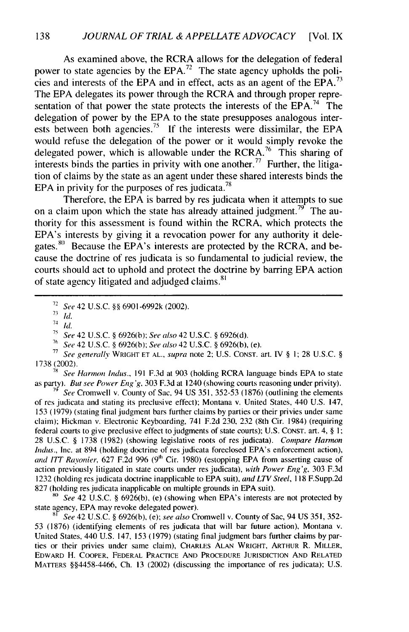As examined above, the RCRA allows for the delegation of federal power to state agencies by the EPA.<sup>72</sup> The state agency upholds the policies and interests of the EPA and in effect, acts as an agent of the EPA.<sup>73</sup> The EPA delegates its power through the RCRA and through proper representation of that power the state protects the interests of the  $EPA.<sup>74</sup>$  The delegation of power by the EPA to the state presupposes analogous interests between both agencies.<sup>75</sup> If the interests were dissimilar, the EPA would refuse the delegation of the power or it would simply revoke the delegated power, which is allowable under the RCRA.<sup>76</sup> This sharing of interests binds the parties in privity with one another.<sup>77</sup> Further, the litigation of claims by the state as an agent under these shared interests binds the EPA in privity for the purposes of res judicata.<sup>78</sup>

Therefore, the EPA is barred by res judicata when it attempts to sue on a claim upon which the state has already attained judgment.<sup>79</sup> The authority for this assessment is found within the RCRA, which protects the EPA's interests by giving it a revocation power for any authority it delegates.<sup>80</sup> Because the EPA's interests are protected by the RCRA, and because the doctrine of res judicata is so fundamental to judicial review, the courts should act to uphold and protect the doctrine by barring EPA action of state agency litigated and adjudged claims.<sup>81</sup>

 $13$  *id.* 

**75** *See* 42 U.S.C. § 6926(b); See also 42 U.S.C. § 6926(d).

**7,** *See* 42 U.S.C. § 6926(b); *See* also 42 U.S.C. § 6926(b), (e).

**<sup>77</sup>***See generally* WRIGHT **ET AL.,** *supra* note 2; U.S. **CONST.** art. IV § **1;** 28 U.S.C. § 1738 (2002).

**7"** *See Harmon Indus.,* 191 F.3d at 903 (holding RCRA language binds EPA to state as party). *But see Power Eng'g,* 303 F.3d at 1240 (showing courts reasoning under privity).

**79** *See* Cromwell v. County of Sac, 94 US 351, 352-53 (1876) (outlining the elements of res judicata and stating its preclusive effect); Montana v. United States, 440 U.S. 147, 153 (1979) (stating final judgment bars further claims by parties or their privies under same claim); Hickman v. Electronic Keyboarding, 741 F.2d 230, 232 (8th Cir. 1984) (requiring federal courts to give preclusive effect to judgments of state courts); U.S. CONST. art. 4, § **I;** 28 U.S.C. § 1738 (1982) (showing legislative roots of res judicata). *Compare Harmon Indus.*, Inc. at 894 (holding doctrine of res judicata foreclosed EPA's enforcement action), *and ITT Rayonier,* 627 F.2d 996 **(9"** Cir. 1980) (estopping EPA from asserting cause of action previously litigated in state courts under res judicata), *with Power Eng'g,* 303 F.3d 1232 (holding res judicata doctrine inapplicable to EPA suit), *and LTV Steel,* 118 F.Supp.2d 827 (holding res judicata inapplicable on multiple grounds in EPA suit).

*") See* 42 U.S.C. § 6926(b), (e) (showing when EPA's interests are not protected by state agency, EPA may revoke delegated power).

**<sup>81</sup>***See* 42 U.S.C. § 6926(b), (e); *see also* Cromwell v. County of Sac, 94 US 351, 352- 53 (1876) (identifying elements of res judicata that will bar future action), Montana v. United States, 440 U.S. 147, 153 (1979) (stating final judgment bars further claims by parties or their privies under same claim), CHARLES **ALAN** WRIGHT, ARTHUR R. MILLER, EDWARD H. COOPER, FEDERAL PRACTICE **AND** PROCEDURE **JURISDICTION AND** RELATED MATTERS §§4458-4466, Ch. 13 (2002) (discussing the importance of res judicata); U.S.

<sup>72</sup>*See* 42 U.S.C. §§ 6901-6992k (2002).

*<sup>74</sup> id,*